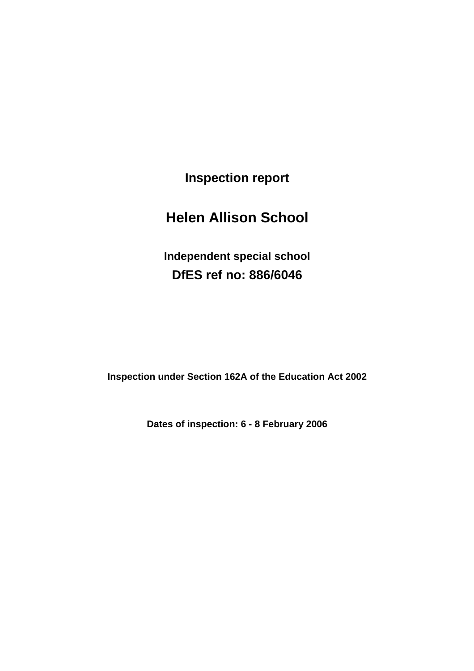**Inspection report** 

# **Helen Allison School**

**Independent special school DfES ref no: 886/6046** 

**Inspection under Section 162A of the Education Act 2002** 

**Dates of inspection: 6 - 8 February 2006**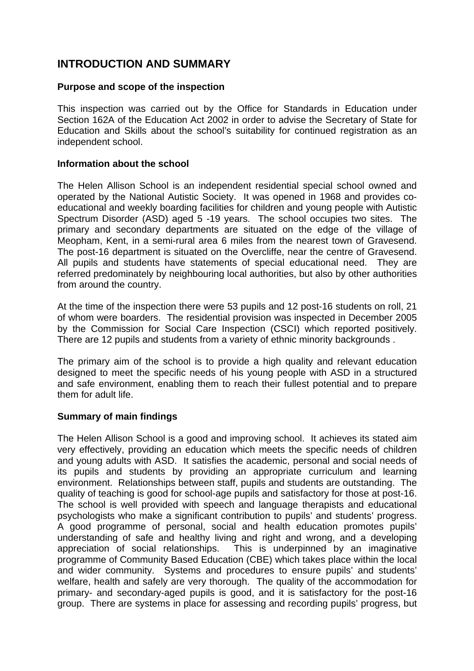# **INTRODUCTION AND SUMMARY**

### **Purpose and scope of the inspection**

This inspection was carried out by the Office for Standards in Education under Section 162A of the Education Act 2002 in order to advise the Secretary of State for Education and Skills about the school's suitability for continued registration as an independent school.

### **Information about the school**

The Helen Allison School is an independent residential special school owned and operated by the National Autistic Society. It was opened in 1968 and provides coeducational and weekly boarding facilities for children and young people with Autistic Spectrum Disorder (ASD) aged 5 -19 years. The school occupies two sites. The primary and secondary departments are situated on the edge of the village of Meopham, Kent, in a semi-rural area 6 miles from the nearest town of Gravesend. The post-16 department is situated on the Overcliffe, near the centre of Gravesend. All pupils and students have statements of special educational need. They are referred predominately by neighbouring local authorities, but also by other authorities from around the country.

At the time of the inspection there were 53 pupils and 12 post-16 students on roll, 21 of whom were boarders. The residential provision was inspected in December 2005 by the Commission for Social Care Inspection (CSCI) which reported positively. There are 12 pupils and students from a variety of ethnic minority backgrounds .

The primary aim of the school is to provide a high quality and relevant education designed to meet the specific needs of his young people with ASD in a structured and safe environment, enabling them to reach their fullest potential and to prepare them for adult life.

### **Summary of main findings**

The Helen Allison School is a good and improving school. It achieves its stated aim very effectively, providing an education which meets the specific needs of children and young adults with ASD. It satisfies the academic, personal and social needs of its pupils and students by providing an appropriate curriculum and learning environment. Relationships between staff, pupils and students are outstanding. The quality of teaching is good for school-age pupils and satisfactory for those at post-16. The school is well provided with speech and language therapists and educational psychologists who make a significant contribution to pupils' and students' progress. A good programme of personal, social and health education promotes pupils' understanding of safe and healthy living and right and wrong, and a developing appreciation of social relationships. This is underpinned by an imaginative programme of Community Based Education (CBE) which takes place within the local and wider community. Systems and procedures to ensure pupils' and students' welfare, health and safely are very thorough. The quality of the accommodation for primary- and secondary-aged pupils is good, and it is satisfactory for the post-16 group. There are systems in place for assessing and recording pupils' progress, but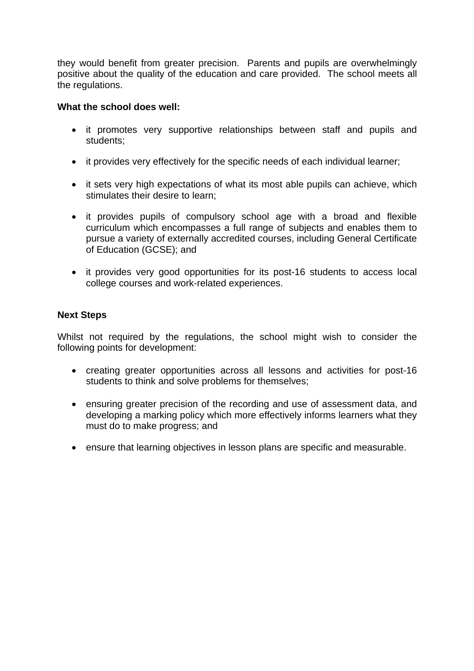they would benefit from greater precision. Parents and pupils are overwhelmingly positive about the quality of the education and care provided. The school meets all the regulations.

### **What the school does well:**

- it promotes very supportive relationships between staff and pupils and students;
- it provides very effectively for the specific needs of each individual learner;
- it sets very high expectations of what its most able pupils can achieve, which stimulates their desire to learn;
- it provides pupils of compulsory school age with a broad and flexible curriculum which encompasses a full range of subjects and enables them to pursue a variety of externally accredited courses, including General Certificate of Education (GCSE); and
- it provides very good opportunities for its post-16 students to access local college courses and work-related experiences.

### **Next Steps**

Whilst not required by the regulations, the school might wish to consider the following points for development:

- creating greater opportunities across all lessons and activities for post-16 students to think and solve problems for themselves;
- ensuring greater precision of the recording and use of assessment data, and developing a marking policy which more effectively informs learners what they must do to make progress; and
- ensure that learning objectives in lesson plans are specific and measurable.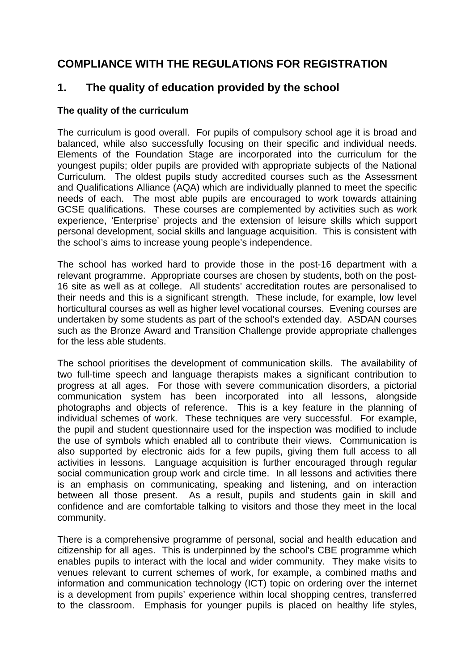# **COMPLIANCE WITH THE REGULATIONS FOR REGISTRATION**

# **1. The quality of education provided by the school**

### **The quality of the curriculum**

The curriculum is good overall. For pupils of compulsory school age it is broad and balanced, while also successfully focusing on their specific and individual needs. Elements of the Foundation Stage are incorporated into the curriculum for the youngest pupils; older pupils are provided with appropriate subjects of the National Curriculum. The oldest pupils study accredited courses such as the Assessment and Qualifications Alliance (AQA) which are individually planned to meet the specific needs of each. The most able pupils are encouraged to work towards attaining GCSE qualifications. These courses are complemented by activities such as work experience, 'Enterprise' projects and the extension of leisure skills which support personal development, social skills and language acquisition. This is consistent with the school's aims to increase young people's independence.

The school has worked hard to provide those in the post-16 department with a relevant programme. Appropriate courses are chosen by students, both on the post-16 site as well as at college. All students' accreditation routes are personalised to their needs and this is a significant strength. These include, for example, low level horticultural courses as well as higher level vocational courses. Evening courses are undertaken by some students as part of the school's extended day. ASDAN courses such as the Bronze Award and Transition Challenge provide appropriate challenges for the less able students.

The school prioritises the development of communication skills. The availability of two full-time speech and language therapists makes a significant contribution to progress at all ages. For those with severe communication disorders, a pictorial communication system has been incorporated into all lessons, alongside photographs and objects of reference. This is a key feature in the planning of individual schemes of work. These techniques are very successful. For example, the pupil and student questionnaire used for the inspection was modified to include the use of symbols which enabled all to contribute their views. Communication is also supported by electronic aids for a few pupils, giving them full access to all activities in lessons. Language acquisition is further encouraged through regular social communication group work and circle time. In all lessons and activities there is an emphasis on communicating, speaking and listening, and on interaction between all those present. As a result, pupils and students gain in skill and confidence and are comfortable talking to visitors and those they meet in the local community.

There is a comprehensive programme of personal, social and health education and citizenship for all ages. This is underpinned by the school's CBE programme which enables pupils to interact with the local and wider community. They make visits to venues relevant to current schemes of work, for example, a combined maths and information and communication technology (ICT) topic on ordering over the internet is a development from pupils' experience within local shopping centres, transferred to the classroom. Emphasis for younger pupils is placed on healthy life styles,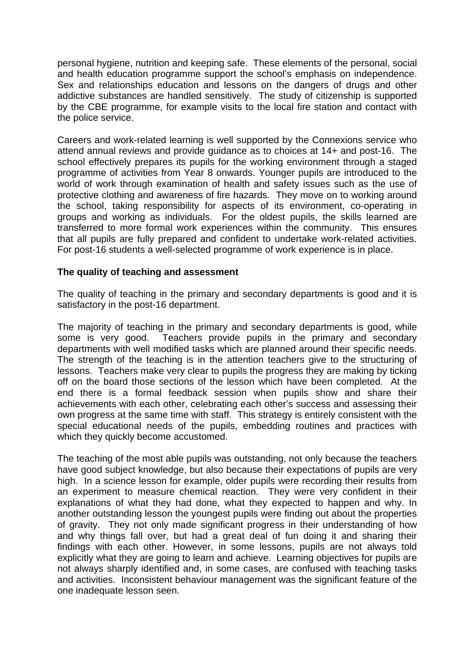personal hygiene, nutrition and keeping safe. These elements of the personal, social and health education programme support the school's emphasis on independence. Sex and relationships education and lessons on the dangers of drugs and other addictive substances are handled sensitively. The study of citizenship is supported by the CBE programme, for example visits to the local fire station and contact with the police service.

Careers and work-related learning is well supported by the Connexions service who attend annual reviews and provide guidance as to choices at 14+ and post-16. The school effectively prepares its pupils for the working environment through a staged programme of activities from Year 8 onwards. Younger pupils are introduced to the world of work through examination of health and safety issues such as the use of protective clothing and awareness of fire hazards. They move on to working around the school, taking responsibility for aspects of its environment, co-operating in groups and working as individuals. For the oldest pupils, the skills learned are transferred to more formal work experiences within the community. This ensures that all pupils are fully prepared and confident to undertake work-related activities. For post-16 students a well-selected programme of work experience is in place.

### **The quality of teaching and assessment**

The quality of teaching in the primary and secondary departments is good and it is satisfactory in the post-16 department.

The majority of teaching in the primary and secondary departments is good, while some is very good. Teachers provide pupils in the primary and secondary departments with well modified tasks which are planned around their specific needs. The strength of the teaching is in the attention teachers give to the structuring of lessons. Teachers make very clear to pupils the progress they are making by ticking off on the board those sections of the lesson which have been completed. At the end there is a formal feedback session when pupils show and share their achievements with each other, celebrating each other's success and assessing their own progress at the same time with staff. This strategy is entirely consistent with the special educational needs of the pupils, embedding routines and practices with which they quickly become accustomed.

The teaching of the most able pupils was outstanding, not only because the teachers have good subject knowledge, but also because their expectations of pupils are very high. In a science lesson for example, older pupils were recording their results from an experiment to measure chemical reaction. They were very confident in their explanations of what they had done, what they expected to happen and why. In another outstanding lesson the youngest pupils were finding out about the properties of gravity. They not only made significant progress in their understanding of how and why things fall over, but had a great deal of fun doing it and sharing their findings with each other. However, in some lessons, pupils are not always told explicitly what they are going to learn and achieve. Learning objectives for pupils are not always sharply identified and, in some cases, are confused with teaching tasks and activities. Inconsistent behaviour management was the significant feature of the one inadequate lesson seen.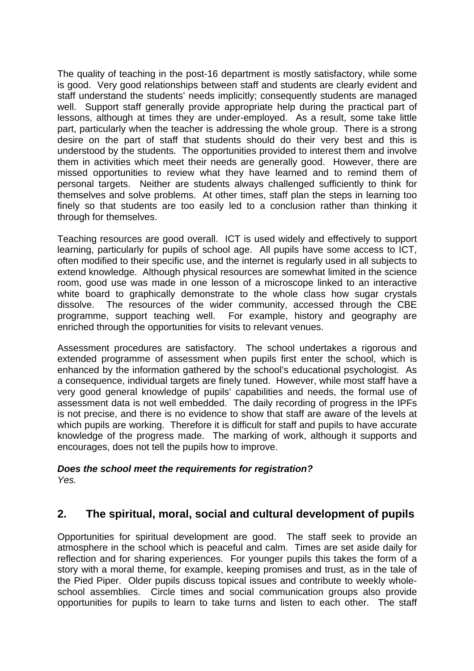The quality of teaching in the post-16 department is mostly satisfactory, while some is good. Very good relationships between staff and students are clearly evident and staff understand the students' needs implicitly; consequently students are managed well. Support staff generally provide appropriate help during the practical part of lessons, although at times they are under-employed. As a result, some take little part, particularly when the teacher is addressing the whole group. There is a strong desire on the part of staff that students should do their very best and this is understood by the students. The opportunities provided to interest them and involve them in activities which meet their needs are generally good. However, there are missed opportunities to review what they have learned and to remind them of personal targets. Neither are students always challenged sufficiently to think for themselves and solve problems. At other times, staff plan the steps in learning too finely so that students are too easily led to a conclusion rather than thinking it through for themselves.

Teaching resources are good overall. ICT is used widely and effectively to support learning, particularly for pupils of school age. All pupils have some access to ICT, often modified to their specific use, and the internet is regularly used in all subjects to extend knowledge. Although physical resources are somewhat limited in the science room, good use was made in one lesson of a microscope linked to an interactive white board to graphically demonstrate to the whole class how sugar crystals dissolve. The resources of the wider community, accessed through the CBE programme, support teaching well. For example, history and geography are enriched through the opportunities for visits to relevant venues.

Assessment procedures are satisfactory. The school undertakes a rigorous and extended programme of assessment when pupils first enter the school, which is enhanced by the information gathered by the school's educational psychologist. As a consequence, individual targets are finely tuned. However, while most staff have a very good general knowledge of pupils' capabilities and needs, the formal use of assessment data is not well embedded. The daily recording of progress in the IPFs is not precise, and there is no evidence to show that staff are aware of the levels at which pupils are working. Therefore it is difficult for staff and pupils to have accurate knowledge of the progress made. The marking of work, although it supports and encourages, does not tell the pupils how to improve.

#### *Does the school meet the requirements for registration? Yes.*

# **2. The spiritual, moral, social and cultural development of pupils**

Opportunities for spiritual development are good. The staff seek to provide an atmosphere in the school which is peaceful and calm. Times are set aside daily for reflection and for sharing experiences. For younger pupils this takes the form of a story with a moral theme, for example, keeping promises and trust, as in the tale of the Pied Piper. Older pupils discuss topical issues and contribute to weekly wholeschool assemblies. Circle times and social communication groups also provide opportunities for pupils to learn to take turns and listen to each other. The staff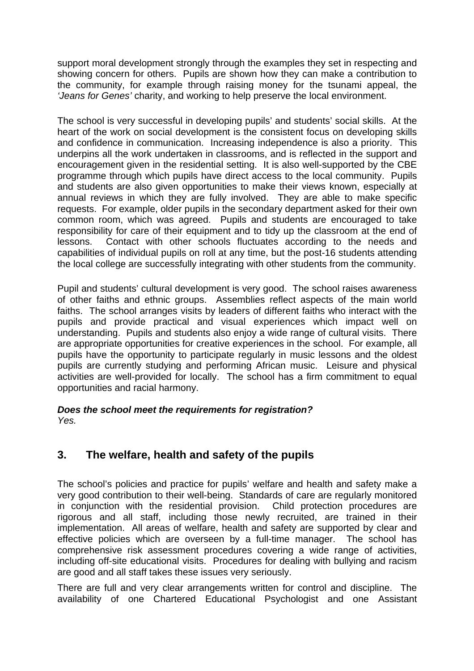support moral development strongly through the examples they set in respecting and showing concern for others. Pupils are shown how they can make a contribution to the community, for example through raising money for the tsunami appeal, the *'Jeans for Genes'* charity, and working to help preserve the local environment.

The school is very successful in developing pupils' and students' social skills. At the heart of the work on social development is the consistent focus on developing skills and confidence in communication. Increasing independence is also a priority. This underpins all the work undertaken in classrooms, and is reflected in the support and encouragement given in the residential setting. It is also well-supported by the CBE programme through which pupils have direct access to the local community. Pupils and students are also given opportunities to make their views known, especially at annual reviews in which they are fully involved. They are able to make specific requests. For example, older pupils in the secondary department asked for their own common room, which was agreed. Pupils and students are encouraged to take responsibility for care of their equipment and to tidy up the classroom at the end of lessons. Contact with other schools fluctuates according to the needs and capabilities of individual pupils on roll at any time, but the post-16 students attending the local college are successfully integrating with other students from the community.

Pupil and students' cultural development is very good. The school raises awareness of other faiths and ethnic groups. Assemblies reflect aspects of the main world faiths. The school arranges visits by leaders of different faiths who interact with the pupils and provide practical and visual experiences which impact well on understanding. Pupils and students also enjoy a wide range of cultural visits. There are appropriate opportunities for creative experiences in the school. For example, all pupils have the opportunity to participate regularly in music lessons and the oldest pupils are currently studying and performing African music. Leisure and physical activities are well-provided for locally. The school has a firm commitment to equal opportunities and racial harmony.

#### *Does the school meet the requirements for registration? Yes.*

# **3. The welfare, health and safety of the pupils**

The school's policies and practice for pupils' welfare and health and safety make a very good contribution to their well-being. Standards of care are regularly monitored in conjunction with the residential provision. Child protection procedures are rigorous and all staff, including those newly recruited, are trained in their implementation. All areas of welfare, health and safety are supported by clear and effective policies which are overseen by a full-time manager. The school has comprehensive risk assessment procedures covering a wide range of activities, including off-site educational visits. Procedures for dealing with bullying and racism are good and all staff takes these issues very seriously.

There are full and very clear arrangements written for control and discipline. The availability of one Chartered Educational Psychologist and one Assistant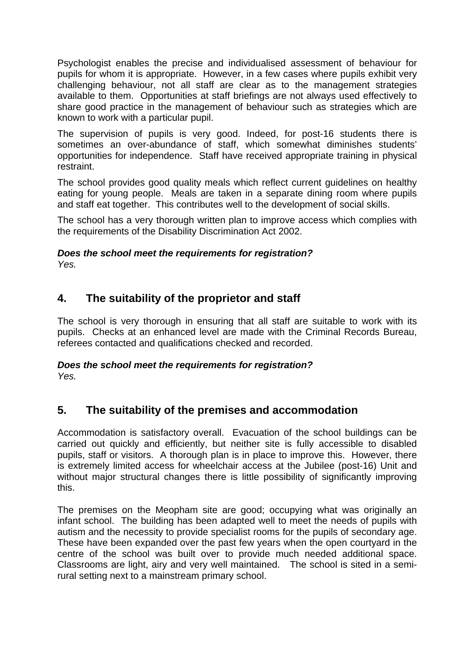Psychologist enables the precise and individualised assessment of behaviour for pupils for whom it is appropriate. However, in a few cases where pupils exhibit very challenging behaviour, not all staff are clear as to the management strategies available to them. Opportunities at staff briefings are not always used effectively to share good practice in the management of behaviour such as strategies which are known to work with a particular pupil.

The supervision of pupils is very good. Indeed, for post-16 students there is sometimes an over-abundance of staff, which somewhat diminishes students' opportunities for independence. Staff have received appropriate training in physical restraint.

The school provides good quality meals which reflect current guidelines on healthy eating for young people. Meals are taken in a separate dining room where pupils and staff eat together. This contributes well to the development of social skills.

The school has a very thorough written plan to improve access which complies with the requirements of the Disability Discrimination Act 2002.

#### *Does the school meet the requirements for registration? Yes.*

# **4. The suitability of the proprietor and staff**

The school is very thorough in ensuring that all staff are suitable to work with its pupils. Checks at an enhanced level are made with the Criminal Records Bureau, referees contacted and qualifications checked and recorded.

#### *Does the school meet the requirements for registration? Yes.*

# **5. The suitability of the premises and accommodation**

Accommodation is satisfactory overall. Evacuation of the school buildings can be carried out quickly and efficiently, but neither site is fully accessible to disabled pupils, staff or visitors. A thorough plan is in place to improve this. However, there is extremely limited access for wheelchair access at the Jubilee (post-16) Unit and without major structural changes there is little possibility of significantly improving this.

The premises on the Meopham site are good; occupying what was originally an infant school. The building has been adapted well to meet the needs of pupils with autism and the necessity to provide specialist rooms for the pupils of secondary age. These have been expanded over the past few years when the open courtyard in the centre of the school was built over to provide much needed additional space. Classrooms are light, airy and very well maintained. The school is sited in a semirural setting next to a mainstream primary school.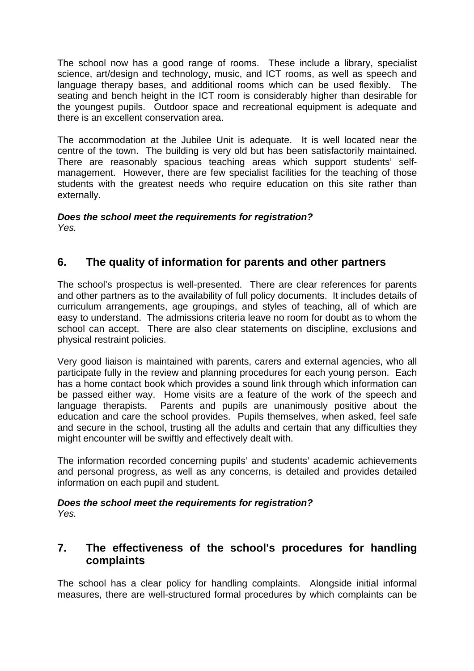The school now has a good range of rooms. These include a library, specialist science, art/design and technology, music, and ICT rooms, as well as speech and language therapy bases, and additional rooms which can be used flexibly. The seating and bench height in the ICT room is considerably higher than desirable for the youngest pupils. Outdoor space and recreational equipment is adequate and there is an excellent conservation area.

The accommodation at the Jubilee Unit is adequate. It is well located near the centre of the town. The building is very old but has been satisfactorily maintained. There are reasonably spacious teaching areas which support students' selfmanagement. However, there are few specialist facilities for the teaching of those students with the greatest needs who require education on this site rather than externally.

#### *Does the school meet the requirements for registration? Yes.*

# **6. The quality of information for parents and other partners**

The school's prospectus is well-presented. There are clear references for parents and other partners as to the availability of full policy documents. It includes details of curriculum arrangements, age groupings, and styles of teaching, all of which are easy to understand. The admissions criteria leave no room for doubt as to whom the school can accept. There are also clear statements on discipline, exclusions and physical restraint policies.

Very good liaison is maintained with parents, carers and external agencies, who all participate fully in the review and planning procedures for each young person. Each has a home contact book which provides a sound link through which information can be passed either way. Home visits are a feature of the work of the speech and language therapists. Parents and pupils are unanimously positive about the education and care the school provides. Pupils themselves, when asked, feel safe and secure in the school, trusting all the adults and certain that any difficulties they might encounter will be swiftly and effectively dealt with.

The information recorded concerning pupils' and students' academic achievements and personal progress, as well as any concerns, is detailed and provides detailed information on each pupil and student.

# *Does the school meet the requirements for registration?*

*Yes.* 

# **7. The effectiveness of the school's procedures for handling complaints**

The school has a clear policy for handling complaints. Alongside initial informal measures, there are well-structured formal procedures by which complaints can be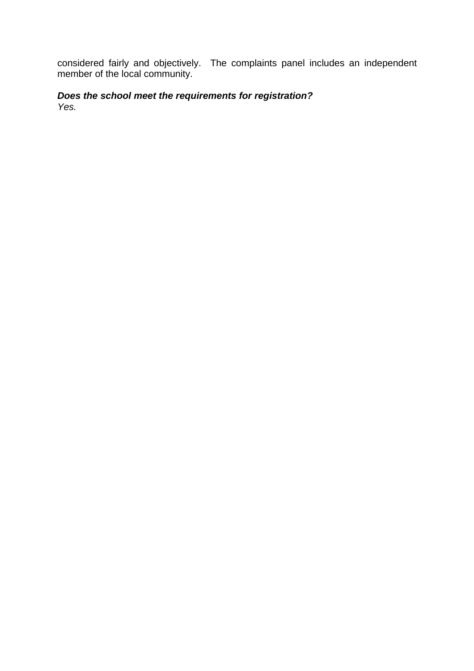considered fairly and objectively. The complaints panel includes an independent member of the local community.

*Does the school meet the requirements for registration? Yes.*